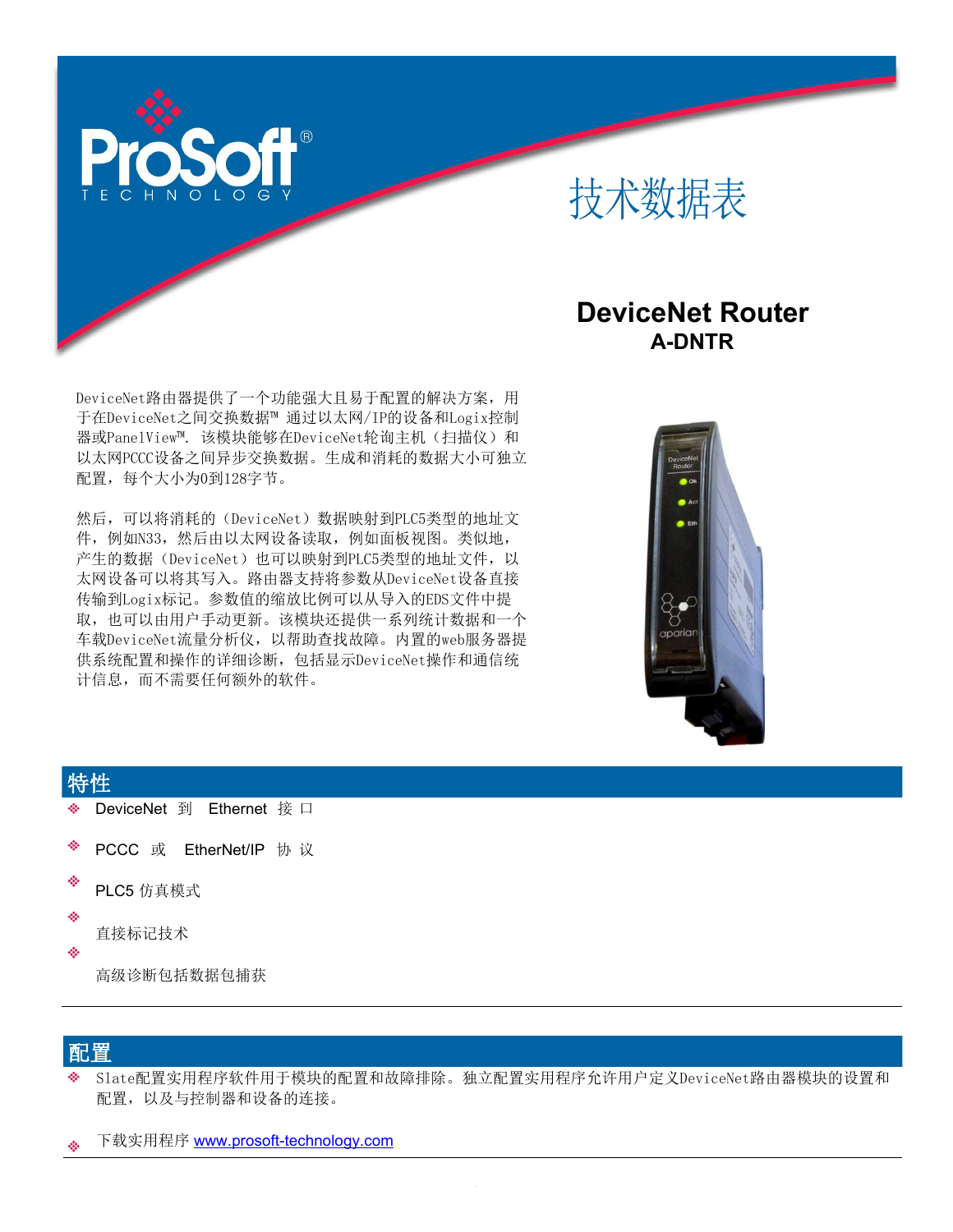



## **DeviceNet Router A-DNTR**

DeviceNet路由器提供了一个功能强大且易于配置的解决方案,用 于在DeviceNet之间交换数据™ 通过以太网/IP的设备和Logix控制 器或PanelView™. 该模块能够在DeviceNet轮询主机(扫描仪)和 以太网PCCC设备之间异步交换数据。生成和消耗的数据大小可独立 配置,每个大小为0到128字节。

然后,可以将消耗的(DeviceNet)数据映射到PLC5类型的地址文 件, 例如N33, 然后由以太网设备读取, 例如面板视图。类似地, 产生的数据(DeviceNet)也可以映射到PLC5类型的地址文件,以 太网设备可以将其写入。路由器支持将参数从DeviceNet设备直接 传输到Logix标记。参数值的缩放比例可以从导入的EDS文件中提 取,也可以由用户手动更新。该模块还提供一系列统计数据和一个 车载DeviceNet流量分析仪,以帮助查找故障。内置的web服务器提 供系统配置和操作的详细诊断,包括显示DeviceNet操作和通信统 计信息,而不需要任何额外的软件。



### 特性 しゅうしょう しゅうしょう しゅうしょう

- DeviceNet 到 Ethernet 接 口
- é. PCCC 或 EtherNet/IP 协 议
- ÷ PLC5 仿真模式
- ŵ
- 直接标记技术
- ÷

高级诊断包括数据包捕获

### 配置 しょうしょう しょうしょう しょうしょう

- Slate配置实用程序软件用于模块的配置和故障排除。独立配置实用程序允许用户定义DeviceNet路由器模块的设置和 配置,以及与控制器和设备的连接。
- 下载实用程序 [www.prosoft-technology.com](http://www.prosoft-technology.com/)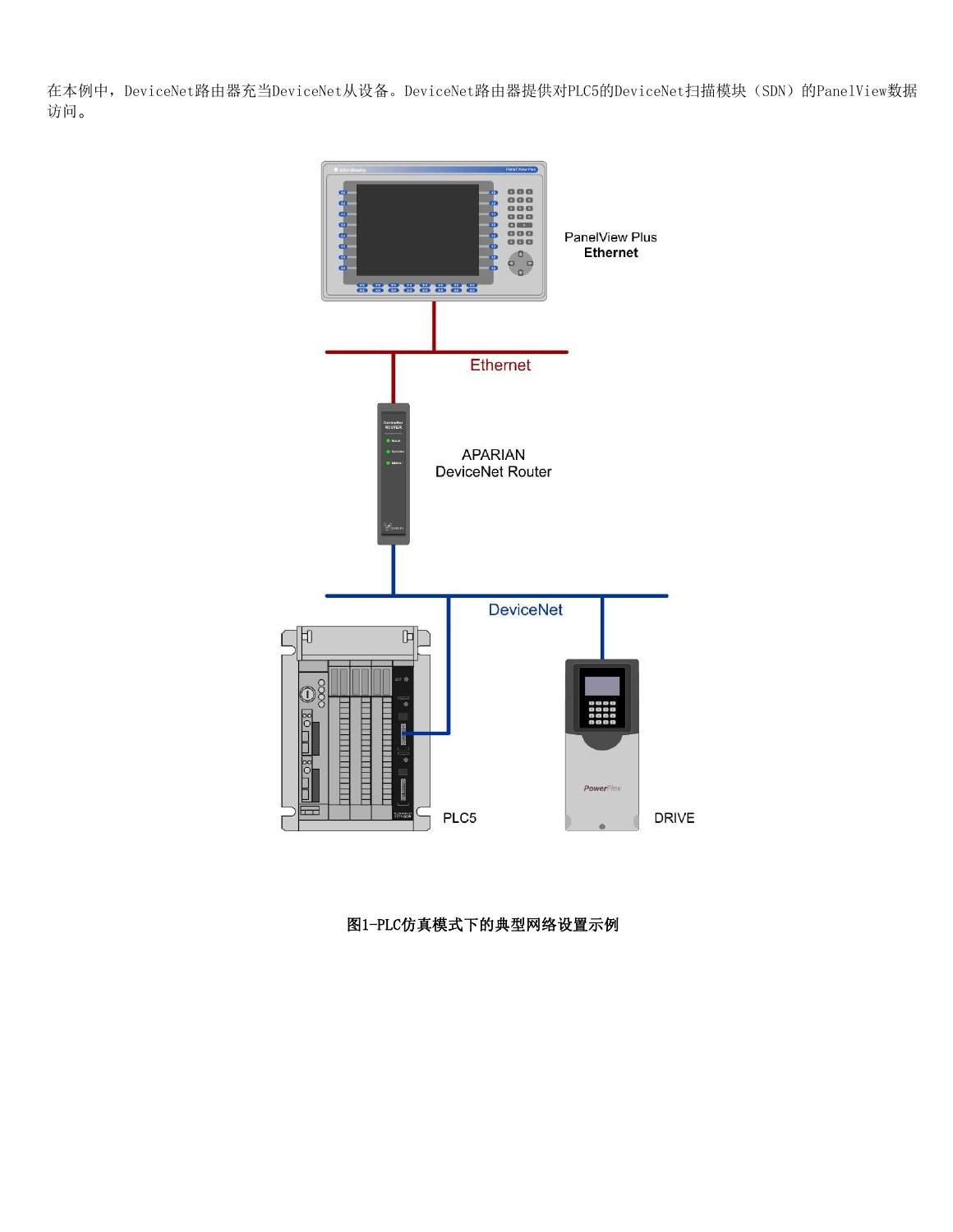在本例中, DeviceNet路由器充当DeviceNet从设备。DeviceNet路由器提供对PLC5的DeviceNet扫描模块(SDN)的PanelView数据 访问。



图1-PLC仿真模式下的典型网络设置示例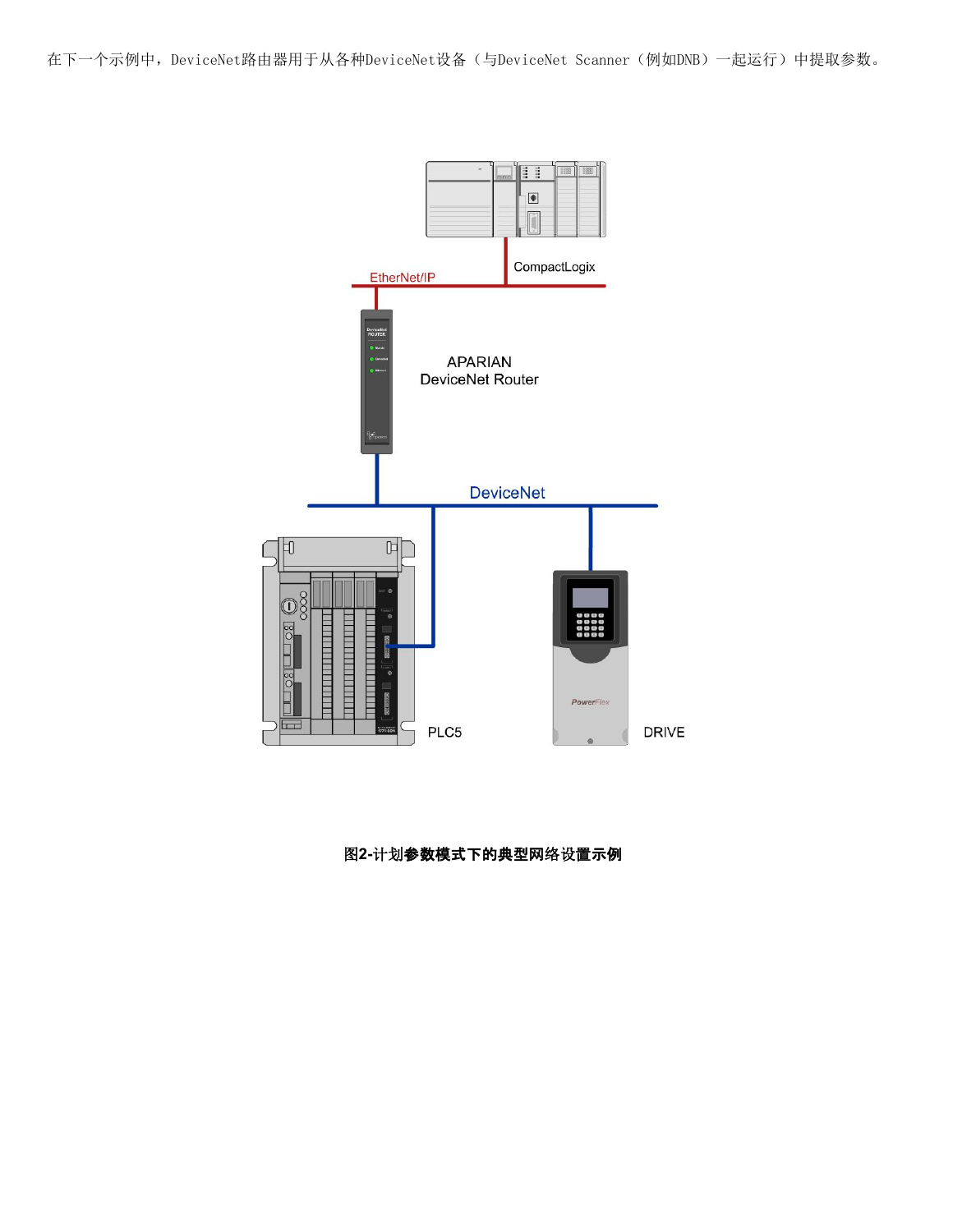在下一个示例中,DeviceNet路由器用于从各种DeviceNet设备(与DeviceNet Scanner(例如DNB)一起运行)中提取参数。



### 图**2-**计划参数模式下的典型网络设置示例